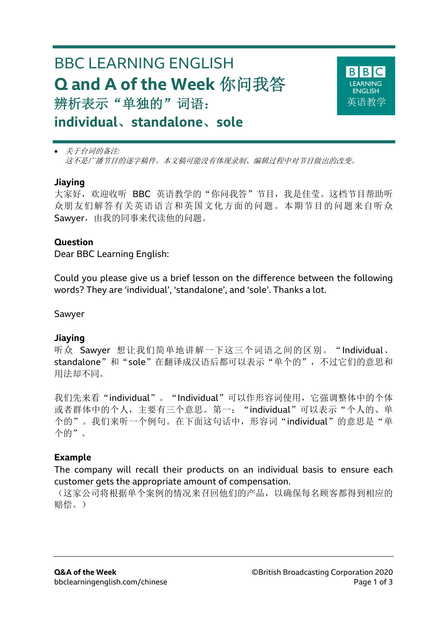# BBC LEARNING ENGLISH **Q and A of the Week** 你问我答 辨析表示"单独的"词语: **individual**、**standalone**、**sole**



• 关于台词的备注*:* 这不是广播节目的逐字稿件。本文稿可能没有体现录制、编辑过程中对节目做出的改变。

#### **Jiaying**

大家好,欢迎收听 BBC 英语教学的"你问我答"节目,我是佳莹。这档节目帮助听 众朋友们解答有关英语语言和英国文化方面的问题。本期节目的问题来自听众 Sawver, 由我的同事来代读他的问题。

#### **Question**

Dear BBC Learning English:

Could you please give us a brief lesson on the difference between the following words? They are 'individual', 'standalone', and 'sole'. Thanks a lot.

Sawyer

# **Jiaying**

听众 Sawyer 想让我们简单地讲解一下这三个词语之间的区别。"Individual、 standalone"和"sole"在翻译成汉语后都可以表示"单个的",不过它们的意思和 用法却不同。

我们先来看"individual"。"Individual"可以作形容词使用,它强调整体中的个体 或者群体中的个人,主要有三个意思。第一: "individual"可以表示"个人的、单 个的"。我们来听一个例句。在下面这句话中,形容词"individual"的意思是"单 个的"。

# **Example**

The company will recall their products on an individual basis to ensure each customer gets the appropriate amount of compensation.

(这家公司将根据单个案例的情况来召回他们的产品,以确保每名顾客都得到相应的 赔偿。)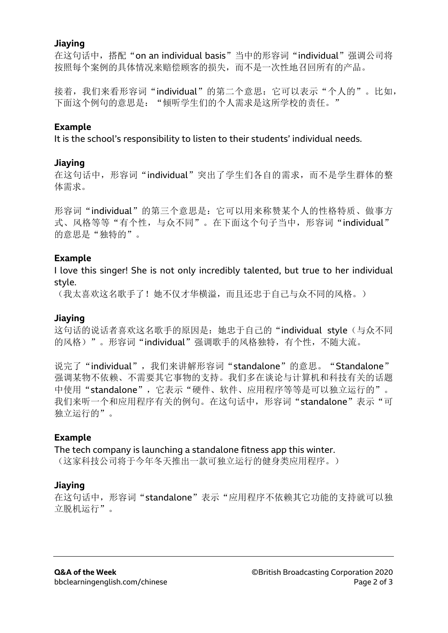#### **Jiaying**

在这句话中,搭配"on an individual basis"当中的形容词"individual"强调公司将 按照每个案例的具体情况来赔偿顾客的损失,而不是一次性地召回所有的产品。

接着,我们来看形容词"individual"的第二个意思:它可以表示"个人的"。比如, 下面这个例句的意思是: "倾听学生们的个人需求是这所学校的责任。"

# **Example**

It is the school's responsibility to listen to their students' individual needs.

# **Jiaying**

在这句话中,形容词"individual"突出了学生们各自的需求,而不是学生群体的整 体需求。

形容词"individual"的第三个意思是:它可以用来称赞某个人的性格特质、做事方 式、风格等等"有个性,与众不同"。在下面这个句子当中,形容词"individual" 的意思是"独特的"。

# **Example**

I love this singer! She is not only incredibly talented, but true to her individual style.

(我太喜欢这名歌手了!她不仅才华横溢,而且还忠于自己与众不同的风格。)

# **Jiaying**

这句话的说话者喜欢这名歌手的原因是: 她忠于自己的"individual style (与众不同 的风格)"。形容词"individual"强调歌手的风格独特,有个性,不随大流。

说完了"individual",我们来讲解形容词"standalone"的意思。"Standalone" 强调某物不依赖、不需要其它事物的支持。我们多在谈论与计算机和科技有关的话题 中使用"standalone", 它表示"硬件、软件、应用程序等等是可以独立运行的"。 我们来听一个和应用程序有关的例句。在这句话中,形容词"standalone"表示"可 独立运行的"。

# **Example**

The tech company is launching a standalone fitness app this winter. (这家科技公司将于今年冬天推出一款可独立运行的健身类应用程序。)

# **Jiaying**

在这句话中,形容词"standalone"表示"应用程序不依赖其它功能的支持就可以独 立脱机运行"。